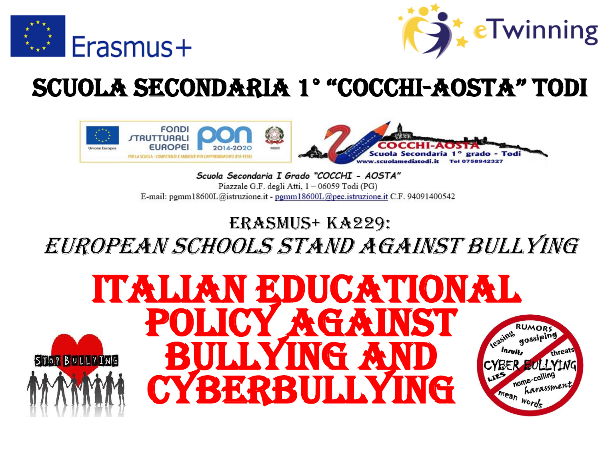



## SCUOLA SECONDARIA 1° "cocchi-aosta" todi



Scuola Secondaria I Grado "COCCHI - AOSTA" Piazzale G.F. degli Atti, 1 - 06059 Todi (PG) E-mail: pemm18600L@istruzione.it - pemm18600L@pec.istruzione.it C.F. 94091400542

#### erasmus+ ka229: european schools stand against bullying

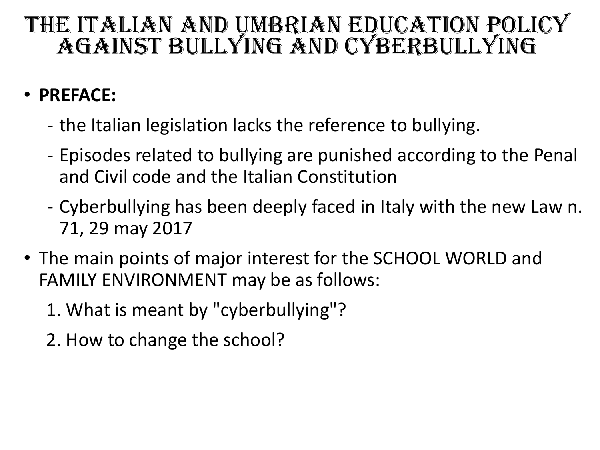#### • **PREFACE:**

- the Italian legislation lacks the reference to bullying.
- Episodes related to bullying are punished according to the Penal and Civil code and the Italian Constitution
- Cyberbullying has been deeply faced in Italy with the new Law n. 71, 29 may 2017
- The main points of major interest for the SCHOOL WORLD and FAMILY ENVIRONMENT may be as follows:
	- 1. What is meant by "cyberbullying"?
	- 2. How to change the school?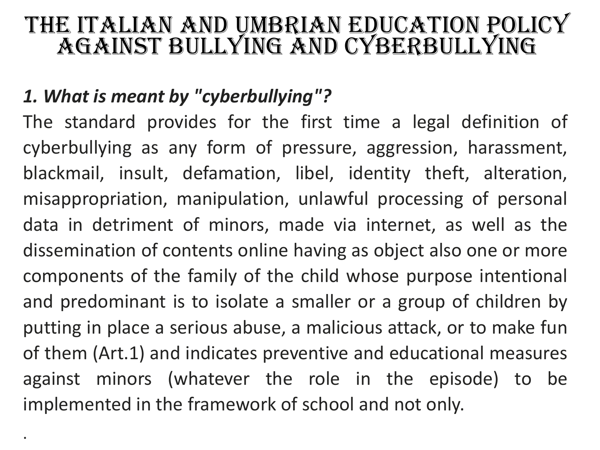#### *1. What is meant by "cyberbullying"?*

.

The standard provides for the first time a legal definition of cyberbullying as any form of pressure, aggression, harassment, blackmail, insult, defamation, libel, identity theft, alteration, misappropriation, manipulation, unlawful processing of personal data in detriment of minors, made via internet, as well as the dissemination of contents online having as object also one or more components of the family of the child whose purpose intentional and predominant is to isolate a smaller or a group of children by putting in place a serious abuse, a malicious attack, or to make fun of them (Art.1) and indicates preventive and educational measures against minors (whatever the role in the episode) to be implemented in the framework of school and not only.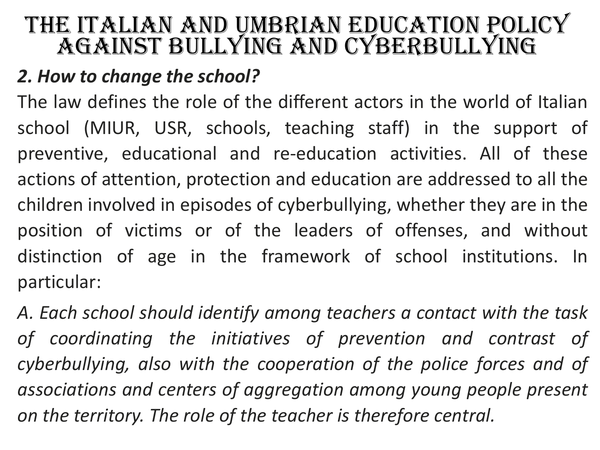#### *2. How to change the school?*

The law defines the role of the different actors in the world of Italian school (MIUR, USR, schools, teaching staff) in the support of preventive, educational and re-education activities. All of these actions of attention, protection and education are addressed to all the children involved in episodes of cyberbullying, whether they are in the position of victims or of the leaders of offenses, and without distinction of age in the framework of school institutions. In particular:

*A. Each school should identify among teachers a contact with the task of coordinating the initiatives of prevention and contrast of cyberbullying, also with the cooperation of the police forces and of associations and centers of aggregation among young people present on the territory. The role of the teacher is therefore central.*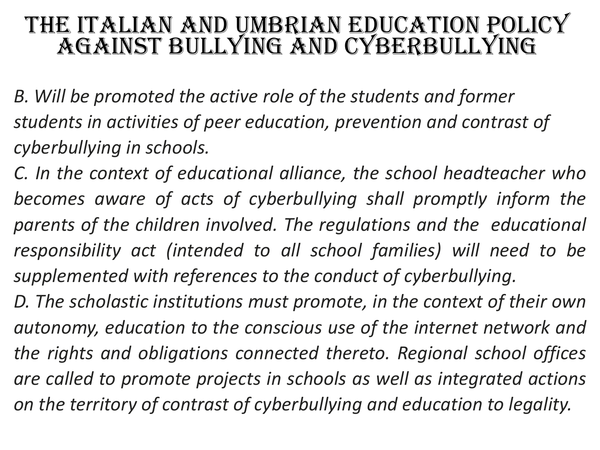*B. Will be promoted the active role of the students and former students in activities of peer education, prevention and contrast of cyberbullying in schools.*

*C. In the context of educational alliance, the school headteacher who becomes aware of acts of cyberbullying shall promptly inform the parents of the children involved. The regulations and the educational responsibility act (intended to all school families) will need to be supplemented with references to the conduct of cyberbullying.*

*D. The scholastic institutions must promote, in the context of their own autonomy, education to the conscious use of the internet network and the rights and obligations connected thereto. Regional school offices are called to promote projects in schools as well as integrated actions on the territory of contrast of cyberbullying and education to legality.*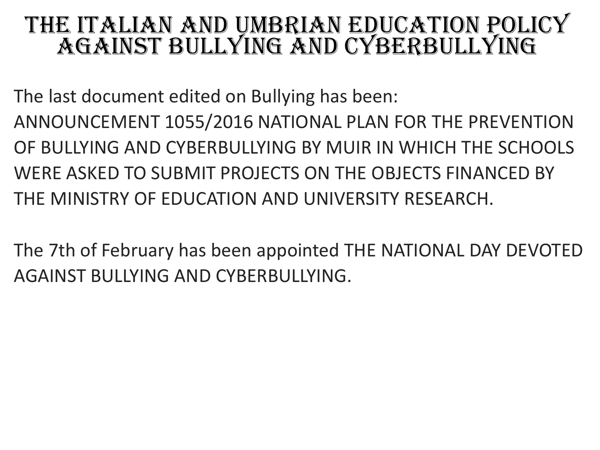The last document edited on Bullying has been: ANNOUNCEMENT 1055/2016 NATIONAL PLAN FOR THE PREVENTION OF BULLYING AND CYBERBULLYING BY MUIR IN WHICH THE SCHOOLS WERE ASKED TO SUBMIT PROJECTS ON THE OBJECTS FINANCED BY THE MINISTRY OF EDUCATION AND UNIVERSITY RESEARCH.

The 7th of February has been appointed THE NATIONAL DAY DEVOTED AGAINST BULLYING AND CYBERBULLYING.